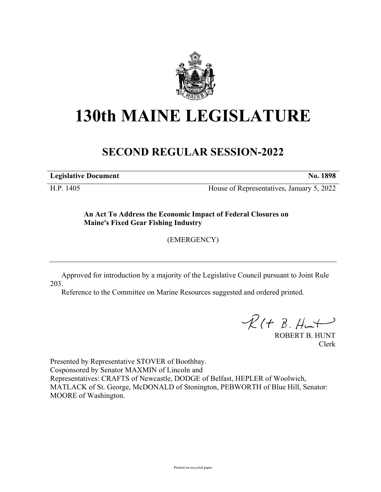

## **130th MAINE LEGISLATURE**

## **SECOND REGULAR SESSION-2022**

**Legislative Document No. 1898**

H.P. 1405 House of Representatives, January 5, 2022

**An Act To Address the Economic Impact of Federal Closures on Maine's Fixed Gear Fishing Industry**

(EMERGENCY)

Approved for introduction by a majority of the Legislative Council pursuant to Joint Rule 203.

Reference to the Committee on Marine Resources suggested and ordered printed.

 $R(H B. Hmt)$ 

ROBERT B. HUNT Clerk

Presented by Representative STOVER of Boothbay. Cosponsored by Senator MAXMIN of Lincoln and Representatives: CRAFTS of Newcastle, DODGE of Belfast, HEPLER of Woolwich, MATLACK of St. George, McDONALD of Stonington, PEBWORTH of Blue Hill, Senator: MOORE of Washington.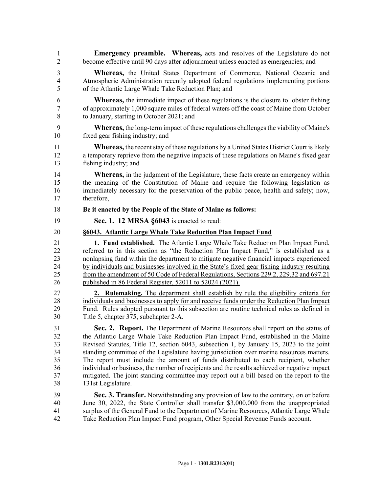- 1 **Emergency preamble. Whereas,** acts and resolves of the Legislature do not 2 become effective until 90 days after adjournment unless enacted as emergencies; and
- 3 **Whereas,** the United States Department of Commerce, National Oceanic and 4 Atmospheric Administration recently adopted federal regulations implementing portions 5 of the Atlantic Large Whale Take Reduction Plan; and
- 6 **Whereas,** the immediate impact of these regulations is the closure to lobster fishing 7 of approximately 1,000 square miles of federal waters off the coast of Maine from October 8 to January, starting in October 2021; and
- 9 **Whereas,** the long-term impact of these regulations challenges the viability of Maine's 10 fixed gear fishing industry; and
- 11 **Whereas,** the recent stay of these regulations by a United States District Court is likely 12 a temporary reprieve from the negative impacts of these regulations on Maine's fixed gear 13 fishing industry; and
- 14 **Whereas,** in the judgment of the Legislature, these facts create an emergency within 15 the meaning of the Constitution of Maine and require the following legislation as 16 immediately necessary for the preservation of the public peace, health and safety; now, 17 therefore,
- 18 **Be it enacted by the People of the State of Maine as follows:**
- 19 **Sec. 1. 12 MRSA §6043** is enacted to read:
- 20 **§6043. Atlantic Large Whale Take Reduction Plan Impact Fund**
- 21 **1. Fund established.** The Atlantic Large Whale Take Reduction Plan Impact Fund, 22 referred to in this section as "the Reduction Plan Impact Fund," is established as a 23 nonlapsing fund within the department to mitigate negative financial impacts experienced 24 by individuals and businesses involved in the State's fixed gear fishing industry resulting 25 from the amendment of 50 Code of Federal Regulations, Sections 229.2, 229.32 and 697.21 26 published in 86 Federal Register, 52011 to 52024 (2021).
- 27 **2. Rulemaking.** The department shall establish by rule the eligibility criteria for 28 individuals and businesses to apply for and receive funds under the Reduction Plan Impact 29 Fund. Rules adopted pursuant to this subsection are routine technical rules as defined in 30 Title 5, chapter 375, subchapter 2-A.
- 31 **Sec. 2. Report.** The Department of Marine Resources shall report on the status of 32 the Atlantic Large Whale Take Reduction Plan Impact Fund, established in the Maine 33 Revised Statutes, Title 12, section 6043, subsection 1, by January 15, 2023 to the joint 34 standing committee of the Legislature having jurisdiction over marine resources matters. 35 The report must include the amount of funds distributed to each recipient, whether 36 individual or business, the number of recipients and the results achieved or negative impact 37 mitigated. The joint standing committee may report out a bill based on the report to the 38 131st Legislature.
- 39 **Sec. 3. Transfer.** Notwithstanding any provision of law to the contrary, on or before 40 June 30, 2022, the State Controller shall transfer \$3,000,000 from the unappropriated 41 surplus of the General Fund to the Department of Marine Resources, Atlantic Large Whale 42 Take Reduction Plan Impact Fund program, Other Special Revenue Funds account.